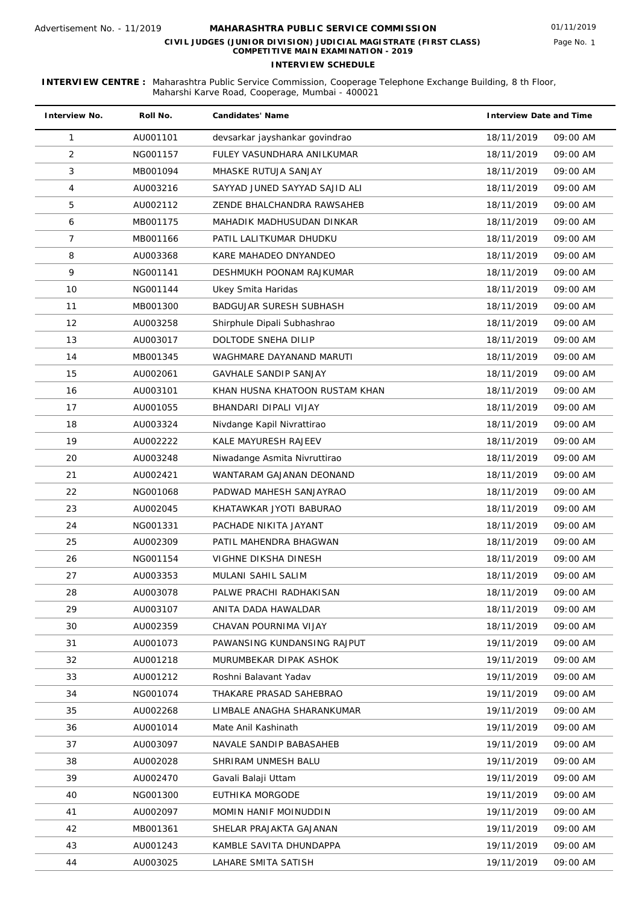| <b>Interview No.</b> | Roll No. | <b>Candidates' Name</b>        | <b>Interview Date and Time</b> |
|----------------------|----------|--------------------------------|--------------------------------|
| 1                    | AU001101 | devsarkar jayshankar govindrao | 18/11/2019<br>09:00 AM         |
| 2                    | NG001157 | FULEY VASUNDHARA ANILKUMAR     | 09:00 AM<br>18/11/2019         |
| 3                    | MB001094 | MHASKE RUTUJA SANJAY           | 18/11/2019<br>09:00 AM         |
| $\overline{4}$       | AU003216 | SAYYAD JUNED SAYYAD SAJID ALI  | 18/11/2019<br>09:00 AM         |
| 5                    | AU002112 | ZENDE BHALCHANDRA RAWSAHEB     | 09:00 AM<br>18/11/2019         |
| 6                    | MB001175 | MAHADIK MADHUSUDAN DINKAR      | 09:00 AM<br>18/11/2019         |
| 7                    | MB001166 | PATIL LALITKUMAR DHUDKU        | 18/11/2019<br>09:00 AM         |
| 8                    | AU003368 | KARE MAHADEO DNYANDEO          | 18/11/2019<br>09:00 AM         |
| 9                    | NG001141 | DESHMUKH POONAM RAJKUMAR       | 09:00 AM<br>18/11/2019         |
| 10                   | NG001144 | Ukey Smita Haridas             | 18/11/2019<br>09:00 AM         |
| 11                   | MB001300 | BADGUJAR SURESH SUBHASH        | 18/11/2019<br>09:00 AM         |
| 12                   | AU003258 | Shirphule Dipali Subhashrao    | 18/11/2019<br>09:00 AM         |
| 13                   | AU003017 | DOLTODE SNEHA DILIP            | 18/11/2019<br>09:00 AM         |
| 14                   | MB001345 | WAGHMARE DAYANAND MARUTI       | 09:00 AM<br>18/11/2019         |
| 15                   | AU002061 | <b>GAVHALE SANDIP SANJAY</b>   | 09:00 AM<br>18/11/2019         |
| 16                   | AU003101 | KHAN HUSNA KHATOON RUSTAM KHAN | 09:00 AM<br>18/11/2019         |
| 17                   | AU001055 | BHANDARI DIPALI VIJAY          | 18/11/2019<br>09:00 AM         |
| 18                   | AU003324 | Nivdange Kapil Nivrattirao     | 09:00 AM<br>18/11/2019         |
| 19                   | AU002222 | KALE MAYURESH RAJEEV           | 09:00 AM<br>18/11/2019         |
| 20                   | AU003248 | Niwadange Asmita Nivruttirao   | 18/11/2019<br>09:00 AM         |
| 21                   | AU002421 | WANTARAM GAJANAN DEONAND       | 09:00 AM<br>18/11/2019         |
| 22                   | NG001068 | PADWAD MAHESH SANJAYRAO        | 09:00 AM<br>18/11/2019         |
| 23                   | AU002045 | KHATAWKAR JYOTI BABURAO        | 09:00 AM<br>18/11/2019         |
| 24                   | NG001331 | PACHADE NIKITA JAYANT          | 18/11/2019<br>09:00 AM         |
| 25                   | AU002309 | PATIL MAHENDRA BHAGWAN         | 18/11/2019<br>09:00 AM         |
| 26                   | NG001154 | VIGHNE DIKSHA DINESH           | 18/11/2019<br>09:00 AM         |
| 27                   | AU003353 | MULANI SAHIL SALIM             | 18/11/2019<br>09:00 AM         |
| 28                   | AU003078 | PALWE PRACHI RADHAKISAN        | 18/11/2019<br>09:00 AM         |
| 29                   | AU003107 | ANITA DADA HAWALDAR            | 18/11/2019<br>09:00 AM         |
| 30                   | AU002359 | CHAVAN POURNIMA VIJAY          | 18/11/2019<br>09:00 AM         |
| 31                   | AU001073 | PAWANSING KUNDANSING RAJPUT    | 19/11/2019<br>09:00 AM         |
| 32                   | AU001218 | MURUMBEKAR DIPAK ASHOK         | 19/11/2019<br>09:00 AM         |
| 33                   | AU001212 | Roshni Balavant Yadav          | 09:00 AM<br>19/11/2019         |
| 34                   | NG001074 | THAKARE PRASAD SAHEBRAO        | 19/11/2019<br>09:00 AM         |
| 35                   | AU002268 | LIMBALE ANAGHA SHARANKUMAR     | 19/11/2019<br>09:00 AM         |
| 36                   | AU001014 | Mate Anil Kashinath            | 19/11/2019<br>09:00 AM         |
| 37                   | AU003097 | NAVALE SANDIP BABASAHEB        | 19/11/2019<br>09:00 AM         |
| 38                   | AU002028 | SHRIRAM UNMESH BALU            | 19/11/2019<br>09:00 AM         |
| 39                   | AU002470 | Gavali Balaji Uttam            | 19/11/2019<br>09:00 AM         |
| 40                   | NG001300 | EUTHIKA MORGODE                | 09:00 AM<br>19/11/2019         |
| 41                   | AU002097 | <b>MOMIN HANIF MOINUDDIN</b>   | 09:00 AM<br>19/11/2019         |
| 42                   | MB001361 | SHELAR PRAJAKTA GAJANAN        | 19/11/2019<br>09:00 AM         |
| 43                   | AU001243 | KAMBLE SAVITA DHUNDAPPA        | 19/11/2019<br>09:00 AM         |
| 44                   | AU003025 | LAHARE SMITA SATISH            | 19/11/2019<br>09:00 AM         |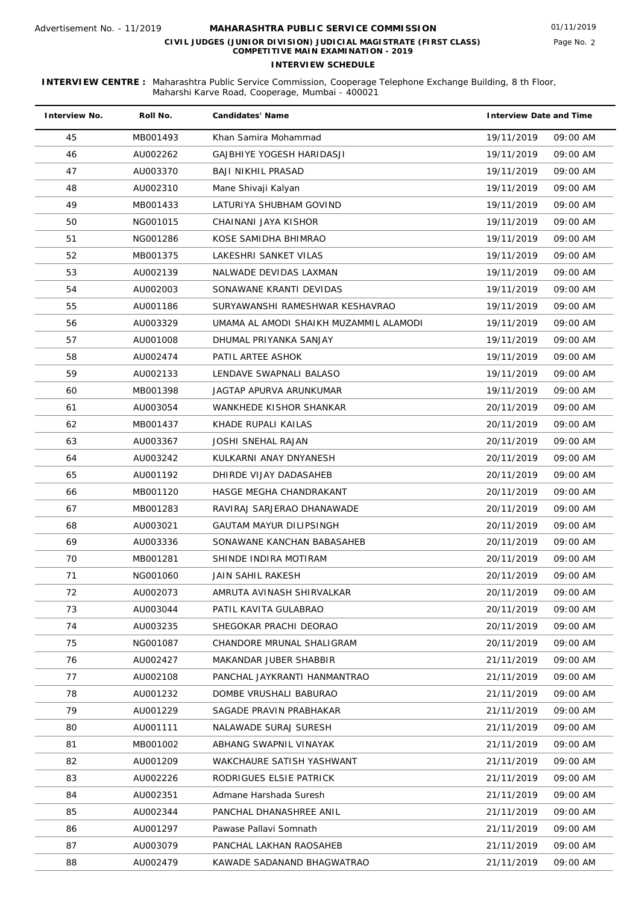| <b>Interview No.</b> | Roll No. | <b>Candidates' Name</b>                | <b>Interview Date and Time</b> |          |
|----------------------|----------|----------------------------------------|--------------------------------|----------|
| 45                   | MB001493 | Khan Samira Mohammad                   | 19/11/2019                     | 09:00 AM |
| 46                   | AU002262 | GAJBHIYE YOGESH HARIDASJI              | 19/11/2019                     | 09:00 AM |
| 47                   | AU003370 | <b>BAJI NIKHIL PRASAD</b>              | 19/11/2019                     | 09:00 AM |
| 48                   | AU002310 | Mane Shivaji Kalyan                    | 19/11/2019                     | 09:00 AM |
| 49                   | MB001433 | LATURIYA SHUBHAM GOVIND                | 19/11/2019                     | 09:00 AM |
| 50                   | NG001015 | CHAINANI JAYA KISHOR                   | 19/11/2019                     | 09:00 AM |
| 51                   | NG001286 | KOSE SAMIDHA BHIMRAO                   | 19/11/2019                     | 09:00 AM |
| 52                   | MB001375 | LAKESHRI SANKET VILAS                  | 19/11/2019                     | 09:00 AM |
| 53                   | AU002139 | NALWADE DEVIDAS LAXMAN                 | 19/11/2019                     | 09:00 AM |
| 54                   | AU002003 | SONAWANE KRANTI DEVIDAS                | 19/11/2019                     | 09:00 AM |
| 55                   | AU001186 | SURYAWANSHI RAMESHWAR KESHAVRAO        | 19/11/2019                     | 09:00 AM |
| 56                   | AU003329 | UMAMA AL AMODI SHAIKH MUZAMMIL ALAMODI | 19/11/2019                     | 09:00 AM |
| 57                   | AU001008 | DHUMAL PRIYANKA SANJAY                 | 19/11/2019                     | 09:00 AM |
| 58                   | AU002474 | PATIL ARTEE ASHOK                      | 19/11/2019                     | 09:00 AM |
| 59                   | AU002133 | LENDAVE SWAPNALI BALASO                | 19/11/2019                     | 09:00 AM |
| 60                   | MB001398 | JAGTAP APURVA ARUNKUMAR                | 19/11/2019                     | 09:00 AM |
| 61                   | AU003054 | WANKHEDE KISHOR SHANKAR                | 20/11/2019                     | 09:00 AM |
| 62                   | MB001437 | KHADE RUPALI KAILAS                    | 20/11/2019                     | 09:00 AM |
| 63                   | AU003367 | <b>JOSHI SNEHAL RAJAN</b>              | 20/11/2019                     | 09:00 AM |
| 64                   | AU003242 | KULKARNI ANAY DNYANESH                 | 20/11/2019                     | 09:00 AM |
| 65                   | AU001192 | DHIRDE VIJAY DADASAHEB                 | 20/11/2019                     | 09:00 AM |
| 66                   | MB001120 | HASGE MEGHA CHANDRAKANT                | 20/11/2019                     | 09:00 AM |
| 67                   | MB001283 | RAVIRAJ SARJERAO DHANAWADE             | 20/11/2019                     | 09:00 AM |
| 68                   | AU003021 | <b>GAUTAM MAYUR DILIPSINGH</b>         | 20/11/2019                     | 09:00 AM |
| 69                   | AU003336 | SONAWANE KANCHAN BABASAHEB             | 20/11/2019                     | 09:00 AM |
| 70                   | MB001281 | SHINDE INDIRA MOTIRAM                  | 20/11/2019                     | 09:00 AM |
| 71                   | NG001060 | JAIN SAHIL RAKESH                      | 20/11/2019                     | 09:00 AM |
| 72                   | AU002073 | AMRUTA AVINASH SHIRVALKAR              | 20/11/2019                     | 09:00 AM |
| 73                   | AU003044 | PATIL KAVITA GULABRAO                  | 20/11/2019                     | 09:00 AM |
| 74                   | AU003235 | SHEGOKAR PRACHI DEORAO                 | 20/11/2019                     | 09:00 AM |
| 75                   | NG001087 | CHANDORE MRUNAL SHALIGRAM              | 20/11/2019                     | 09:00 AM |
| 76                   | AU002427 | MAKANDAR JUBER SHABBIR                 | 21/11/2019                     | 09:00 AM |
| 77                   | AU002108 | PANCHAL JAYKRANTI HANMANTRAO           | 21/11/2019                     | 09:00 AM |
| 78                   | AU001232 | DOMBE VRUSHALI BABURAO                 | 21/11/2019                     | 09:00 AM |
| 79                   | AU001229 | SAGADE PRAVIN PRABHAKAR                | 21/11/2019                     | 09:00 AM |
| 80                   | AU001111 | NALAWADE SURAJ SURESH                  | 21/11/2019                     | 09:00 AM |
| 81                   | MB001002 | ABHANG SWAPNIL VINAYAK                 | 21/11/2019                     | 09:00 AM |
| 82                   | AU001209 | WAKCHAURE SATISH YASHWANT              | 21/11/2019                     | 09:00 AM |
| 83                   | AU002226 | RODRIGUES ELSIE PATRICK                | 21/11/2019                     | 09:00 AM |
| 84                   | AU002351 | Admane Harshada Suresh                 | 21/11/2019                     | 09:00 AM |
| 85                   | AU002344 | PANCHAL DHANASHREE ANIL                | 21/11/2019                     | 09:00 AM |
| 86                   | AU001297 | Pawase Pallavi Somnath                 | 21/11/2019                     | 09:00 AM |
| 87                   | AU003079 | PANCHAL LAKHAN RAOSAHEB                | 21/11/2019                     | 09:00 AM |
| 88                   | AU002479 | KAWADE SADANAND BHAGWATRAO             | 21/11/2019                     | 09:00 AM |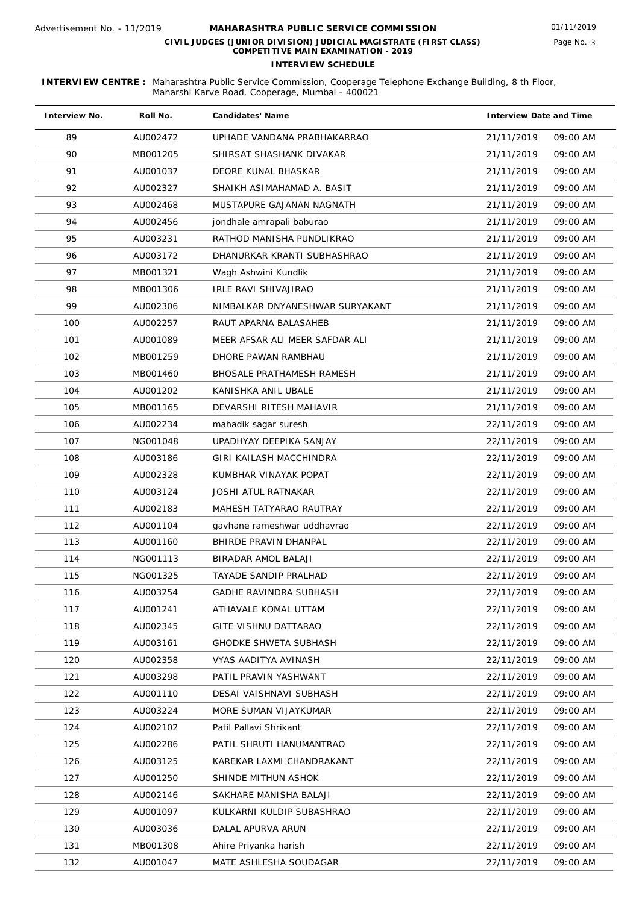| <b>Interview No.</b> | Roll No. | <b>Candidates' Name</b>          | <b>Interview Date and Time</b> |
|----------------------|----------|----------------------------------|--------------------------------|
| 89                   | AU002472 | UPHADE VANDANA PRABHAKARRAO      | 21/11/2019<br>09:00 AM         |
| 90                   | MB001205 | SHIRSAT SHASHANK DIVAKAR         | 09:00 AM<br>21/11/2019         |
| 91                   | AU001037 | DEORE KUNAL BHASKAR              | 09:00 AM<br>21/11/2019         |
| 92                   | AU002327 | SHAIKH ASIMAHAMAD A. BASIT       | 21/11/2019<br>09:00 AM         |
| 93                   | AU002468 | MUSTAPURE GAJANAN NAGNATH        | 09:00 AM<br>21/11/2019         |
| 94                   | AU002456 | jondhale amrapali baburao        | 21/11/2019<br>09:00 AM         |
| 95                   | AU003231 | RATHOD MANISHA PUNDLIKRAO        | 09:00 AM<br>21/11/2019         |
| 96                   | AU003172 | DHANURKAR KRANTI SUBHASHRAO      | 21/11/2019<br>09:00 AM         |
| 97                   | MB001321 | Wagh Ashwini Kundlik             | 21/11/2019<br>09:00 AM         |
| 98                   | MB001306 | IRLE RAVI SHIVAJIRAO             | 09:00 AM<br>21/11/2019         |
| 99                   | AU002306 | NIMBALKAR DNYANESHWAR SURYAKANT  | 09:00 AM<br>21/11/2019         |
| 100                  | AU002257 | RAUT APARNA BALASAHEB            | 21/11/2019<br>09:00 AM         |
| 101                  | AU001089 | MEER AFSAR ALI MEER SAFDAR ALI   | 21/11/2019<br>09:00 AM         |
| 102                  | MB001259 | DHORE PAWAN RAMBHAU              | 21/11/2019<br>09:00 AM         |
| 103                  | MB001460 | <b>BHOSALE PRATHAMESH RAMESH</b> | 21/11/2019<br>09:00 AM         |
| 104                  | AU001202 | KANISHKA ANIL UBALE              | 21/11/2019<br>09:00 AM         |
| 105                  | MB001165 | DEVARSHI RITESH MAHAVIR          | 21/11/2019<br>09:00 AM         |
| 106                  | AU002234 | mahadik sagar suresh             | 09:00 AM<br>22/11/2019         |
| 107                  | NG001048 | UPADHYAY DEEPIKA SANJAY          | 22/11/2019<br>09:00 AM         |
| 108                  | AU003186 | GIRI KAILASH MACCHINDRA          | 22/11/2019<br>09:00 AM         |
| 109                  | AU002328 | KUMBHAR VINAYAK POPAT            | 22/11/2019<br>09:00 AM         |
| 110                  | AU003124 | JOSHI ATUL RATNAKAR              | 09:00 AM<br>22/11/2019         |
| 111                  | AU002183 | MAHESH TATYARAO RAUTRAY          | 09:00 AM<br>22/11/2019         |
| 112                  | AU001104 | gavhane rameshwar uddhavrao      | 09:00 AM<br>22/11/2019         |
| 113                  | AU001160 | BHIRDE PRAVIN DHANPAL            | 22/11/2019<br>09:00 AM         |
| 114                  | NG001113 | <b>BIRADAR AMOL BALAJI</b>       | 22/11/2019<br>09:00 AM         |
| 115                  | NG001325 | <b>TAYADE SANDIP PRALHAD</b>     | 22/11/2019<br>09:00 AM         |
| 116                  | AU003254 | GADHE RAVINDRA SUBHASH           | 22/11/2019<br>09:00 AM         |
| 117                  | AU001241 | ATHAVALE KOMAL UTTAM             | 22/11/2019<br>09:00 AM         |
| 118                  | AU002345 | GITE VISHNU DATTARAO             | 22/11/2019<br>09:00 AM         |
| 119                  | AU003161 | <b>GHODKE SHWETA SUBHASH</b>     | 09:00 AM<br>22/11/2019         |
| 120                  | AU002358 | VYAS AADITYA AVINASH             | 22/11/2019<br>09:00 AM         |
| 121                  | AU003298 | PATIL PRAVIN YASHWANT            | 09:00 AM<br>22/11/2019         |
| 122                  | AU001110 | DESAI VAISHNAVI SUBHASH          | 09:00 AM<br>22/11/2019         |
| 123                  | AU003224 | MORE SUMAN VIJAYKUMAR            | 22/11/2019<br>09:00 AM         |
| 124                  | AU002102 | Patil Pallavi Shrikant           | 22/11/2019<br>09:00 AM         |
| 125                  | AU002286 | PATIL SHRUTI HANUMANTRAO         | 09:00 AM<br>22/11/2019         |
| 126                  | AU003125 | KAREKAR LAXMI CHANDRAKANT        | 22/11/2019<br>09:00 AM         |
| 127                  | AU001250 | SHINDE MITHUN ASHOK              | 22/11/2019<br>09:00 AM         |
| 128                  | AU002146 | SAKHARE MANISHA BALAJI           | 09:00 AM<br>22/11/2019         |
| 129                  | AU001097 | KULKARNI KULDIP SUBASHRAO        | 09:00 AM<br>22/11/2019         |
| 130                  | AU003036 | DALAL APURVA ARUN                | 09:00 AM<br>22/11/2019         |
| 131                  | MB001308 | Ahire Priyanka harish            | 09:00 AM<br>22/11/2019         |
| 132                  | AU001047 | MATE ASHLESHA SOUDAGAR           | 22/11/2019<br>09:00 AM         |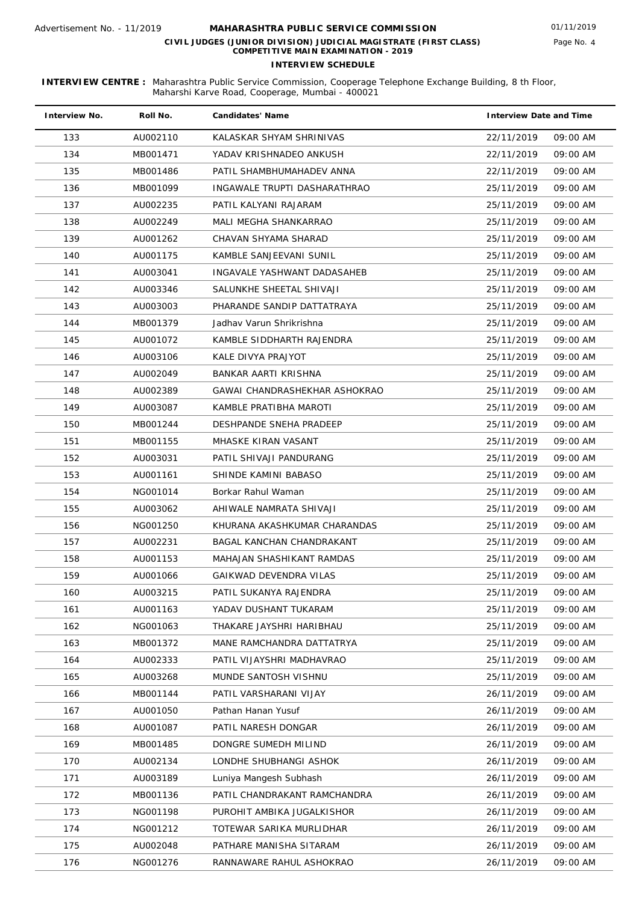| <b>Interview No.</b> | Roll No. | <b>Candidates' Name</b>       | <b>Interview Date and Time</b> |
|----------------------|----------|-------------------------------|--------------------------------|
| 133                  | AU002110 | KALASKAR SHYAM SHRINIVAS      | 22/11/2019<br>09:00 AM         |
| 134                  | MB001471 | YADAV KRISHNADEO ANKUSH       | 22/11/2019<br>09:00 AM         |
| 135                  | MB001486 | PATIL SHAMBHUMAHADEV ANNA     | 22/11/2019<br>09:00 AM         |
| 136                  | MB001099 | INGAWALE TRUPTI DASHARATHRAO  | 25/11/2019<br>09:00 AM         |
| 137                  | AU002235 | PATIL KALYANI RAJARAM         | 25/11/2019<br>09:00 AM         |
| 138                  | AU002249 | MALI MEGHA SHANKARRAO         | 25/11/2019<br>09:00 AM         |
| 139                  | AU001262 | CHAVAN SHYAMA SHARAD          | 25/11/2019<br>09:00 AM         |
| 140                  | AU001175 | KAMBLE SANJEEVANI SUNIL       | 25/11/2019<br>09:00 AM         |
| 141                  | AU003041 | INGAVALE YASHWANT DADASAHEB   | 25/11/2019<br>09:00 AM         |
| 142                  | AU003346 | SALUNKHE SHEETAL SHIVAJI      | 25/11/2019<br>09:00 AM         |
| 143                  | AU003003 | PHARANDE SANDIP DATTATRAYA    | 25/11/2019<br>09:00 AM         |
| 144                  | MB001379 | Jadhay Varun Shrikrishna      | 25/11/2019<br>09:00 AM         |
| 145                  | AU001072 | KAMBLE SIDDHARTH RAJENDRA     | 25/11/2019<br>09:00 AM         |
| 146                  | AU003106 | KALE DIVYA PRAJYOT            | 25/11/2019<br>09:00 AM         |
| 147                  | AU002049 | BANKAR AARTI KRISHNA          | 25/11/2019<br>09:00 AM         |
| 148                  | AU002389 | GAWAI CHANDRASHEKHAR ASHOKRAO | 25/11/2019<br>09:00 AM         |
| 149                  | AU003087 | KAMBLE PRATIBHA MAROTI        | 25/11/2019<br>09:00 AM         |
| 150                  | MB001244 | DESHPANDE SNEHA PRADEEP       | 25/11/2019<br>09:00 AM         |
| 151                  | MB001155 | MHASKE KIRAN VASANT           | 25/11/2019<br>09:00 AM         |
| 152                  | AU003031 | PATIL SHIVAJI PANDURANG       | 25/11/2019<br>09:00 AM         |
| 153                  | AU001161 | SHINDE KAMINI BABASO          | 25/11/2019<br>09:00 AM         |
| 154                  | NG001014 | Borkar Rahul Waman            | 25/11/2019<br>09:00 AM         |
| 155                  | AU003062 | AHIWALE NAMRATA SHIVAJI       | 25/11/2019<br>09:00 AM         |
| 156                  | NG001250 | KHURANA AKASHKUMAR CHARANDAS  | 25/11/2019<br>09:00 AM         |
| 157                  | AU002231 | BAGAL KANCHAN CHANDRAKANT     | 25/11/2019<br>09:00 AM         |
| 158                  | AU001153 | MAHAJAN SHASHIKANT RAMDAS     | 25/11/2019<br>09:00 AM         |
| 159                  | AU001066 | <b>GAIKWAD DEVENDRA VILAS</b> | 25/11/2019<br>09:00 AM         |
| 160                  | AU003215 | PATIL SUKANYA RAJENDRA        | 25/11/2019<br>09:00 AM         |
| 161                  | AU001163 | YADAV DUSHANT TUKARAM         | 25/11/2019<br>09:00 AM         |
| 162                  | NG001063 | THAKARE JAYSHRI HARIBHAU      | 25/11/2019<br>09:00 AM         |
| 163                  | MB001372 | MANE RAMCHANDRA DATTATRYA     | 09:00 AM<br>25/11/2019         |
| 164                  | AU002333 | PATIL VIJAYSHRI MADHAVRAO     | 25/11/2019<br>09:00 AM         |
| 165                  | AU003268 | MUNDE SANTOSH VISHNU          | 09:00 AM<br>25/11/2019         |
| 166                  | MB001144 | PATIL VARSHARANI VIJAY        | 26/11/2019<br>09:00 AM         |
| 167                  | AU001050 | Pathan Hanan Yusuf            | 26/11/2019<br>09:00 AM         |
| 168                  | AU001087 | PATIL NARESH DONGAR           | 26/11/2019<br>09:00 AM         |
| 169                  | MB001485 | DONGRE SUMEDH MILIND          | 09:00 AM<br>26/11/2019         |
| 170                  | AU002134 | LONDHE SHUBHANGI ASHOK        | 26/11/2019<br>09:00 AM         |
| 171                  | AU003189 | Luniya Mangesh Subhash        | 09:00 AM<br>26/11/2019         |
| 172                  | MB001136 | PATIL CHANDRAKANT RAMCHANDRA  | 26/11/2019<br>09:00 AM         |
| 173                  | NG001198 | PUROHIT AMBIKA JUGALKISHOR    | 26/11/2019<br>09:00 AM         |
| 174                  | NG001212 | TOTEWAR SARIKA MURLIDHAR      | 26/11/2019<br>09:00 AM         |
| 175                  | AU002048 | PATHARE MANISHA SITARAM       | 26/11/2019<br>09:00 AM         |
| 176                  | NG001276 | RANNAWARE RAHUL ASHOKRAO      | 09:00 AM<br>26/11/2019         |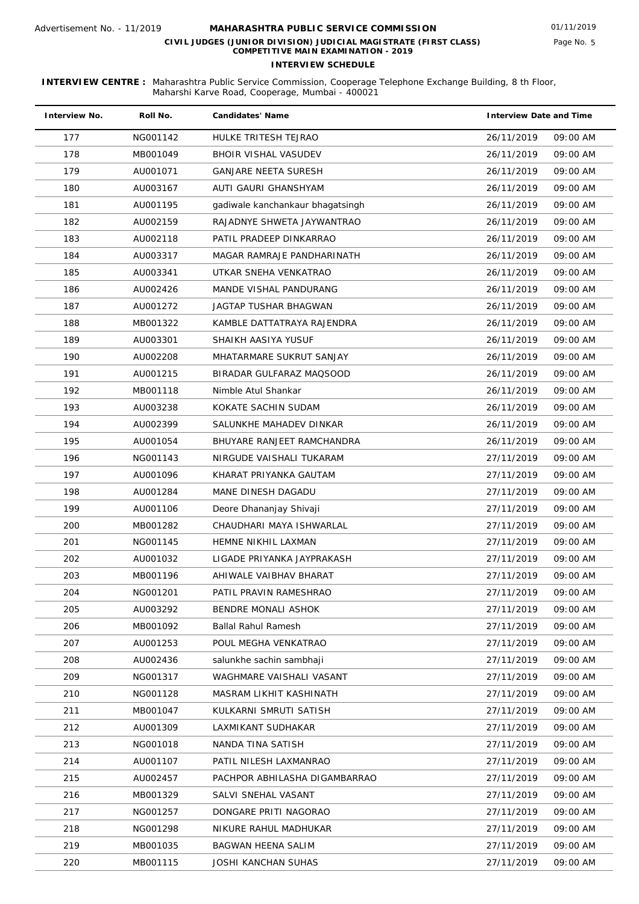| <b>Interview No.</b> | Roll No. | <b>Candidates' Name</b>          | <b>Interview Date and Time</b> |
|----------------------|----------|----------------------------------|--------------------------------|
| 177                  | NG001142 | HULKE TRITESH TEJRAO             | 26/11/2019<br>09:00 AM         |
| 178                  | MB001049 | <b>BHOIR VISHAL VASUDEV</b>      | 26/11/2019<br>09:00 AM         |
| 179                  | AU001071 | GANJARE NEETA SURESH             | 09:00 AM<br>26/11/2019         |
| 180                  | AU003167 | AUTI GAURI GHANSHYAM             | 26/11/2019<br>09:00 AM         |
| 181                  | AU001195 | gadiwale kanchankaur bhagatsingh | 09:00 AM<br>26/11/2019         |
| 182                  | AU002159 | RAJADNYE SHWETA JAYWANTRAO       | 26/11/2019<br>09:00 AM         |
| 183                  | AU002118 | PATIL PRADEEP DINKARRAO          | 26/11/2019<br>09:00 AM         |
| 184                  | AU003317 | MAGAR RAMRAJE PANDHARINATH       | 09:00 AM<br>26/11/2019         |
| 185                  | AU003341 | UTKAR SNEHA VENKATRAO            | 26/11/2019<br>09:00 AM         |
| 186                  | AU002426 | MANDE VISHAL PANDURANG           | 09:00 AM<br>26/11/2019         |
| 187                  | AU001272 | JAGTAP TUSHAR BHAGWAN            | 09:00 AM<br>26/11/2019         |
| 188                  | MB001322 | KAMBLE DATTATRAYA RAJENDRA       | 26/11/2019<br>09:00 AM         |
| 189                  | AU003301 | SHAIKH AASIYA YUSUF              | 26/11/2019<br>09:00 AM         |
| 190                  | AU002208 | MHATARMARE SUKRUT SANJAY         | 26/11/2019<br>09:00 AM         |
| 191                  | AU001215 | BIRADAR GULFARAZ MAQSOOD         | 26/11/2019<br>09:00 AM         |
| 192                  | MB001118 | Nimble Atul Shankar              | 26/11/2019<br>09:00 AM         |
| 193                  | AU003238 | KOKATE SACHIN SUDAM              | 26/11/2019<br>09:00 AM         |
| 194                  | AU002399 | SALUNKHE MAHADEV DINKAR          | 09:00 AM<br>26/11/2019         |
| 195                  | AU001054 | BHUYARE RANJEET RAMCHANDRA       | 26/11/2019<br>09:00 AM         |
| 196                  | NG001143 | NIRGUDE VAISHALI TUKARAM         | 09:00 AM<br>27/11/2019         |
| 197                  | AU001096 | KHARAT PRIYANKA GAUTAM           | 27/11/2019<br>09:00 AM         |
| 198                  | AU001284 | MANE DINESH DAGADU               | 27/11/2019<br>09:00 AM         |
| 199                  | AU001106 | Deore Dhananjay Shivaji          | 09:00 AM<br>27/11/2019         |
| 200                  | MB001282 | CHAUDHARI MAYA ISHWARLAL         | 09:00 AM<br>27/11/2019         |
| 201                  | NG001145 | HEMNE NIKHIL LAXMAN              | 27/11/2019<br>09:00 AM         |
| 202                  | AU001032 | LIGADE PRIYANKA JAYPRAKASH       | 27/11/2019<br>09:00 AM         |
| 203                  | MB001196 | AHIWALE VAIBHAV BHARAT           | 27/11/2019<br>09:00 AM         |
| 204                  | NG001201 | PATIL PRAVIN RAMESHRAO           | 27/11/2019<br>09:00 AM         |
| 205                  | AU003292 | <b>BENDRE MONALI ASHOK</b>       | 27/11/2019<br>09:00 AM         |
| 206                  | MB001092 | <b>Ballal Rahul Ramesh</b>       | 27/11/2019<br>09:00 AM         |
| 207                  | AU001253 | POUL MEGHA VENKATRAO             | 27/11/2019<br>09:00 AM         |
| 208                  | AU002436 | salunkhe sachin sambhaji         | 27/11/2019<br>09:00 AM         |
| 209                  | NG001317 | WAGHMARE VAISHALI VASANT         | 09:00 AM<br>27/11/2019         |
| 210                  | NG001128 | MASRAM LIKHIT KASHINATH          | 09:00 AM<br>27/11/2019         |
| 211                  | MB001047 | KULKARNI SMRUTI SATISH           | 27/11/2019<br>09:00 AM         |
| 212                  | AU001309 | LAXMIKANT SUDHAKAR               | 27/11/2019<br>09:00 AM         |
| 213                  | NG001018 | NANDA TINA SATISH                | 09:00 AM<br>27/11/2019         |
| 214                  | AU001107 | PATIL NILESH LAXMANRAO           | 27/11/2019<br>09:00 AM         |
| 215                  | AU002457 | PACHPOR ABHILASHA DIGAMBARRAO    | 27/11/2019<br>09:00 AM         |
| 216                  | MB001329 | SALVI SNEHAL VASANT              | 27/11/2019<br>09:00 AM         |
| 217                  | NG001257 | DONGARE PRITI NAGORAO            | 09:00 AM<br>27/11/2019         |
| 218                  | NG001298 | NIKURE RAHUL MADHUKAR            | 09:00 AM<br>27/11/2019         |
| 219                  | MB001035 | BAGWAN HEENA SALIM               | 27/11/2019<br>09:00 AM         |
| 220                  | MB001115 | JOSHI KANCHAN SUHAS              | 27/11/2019<br>09:00 AM         |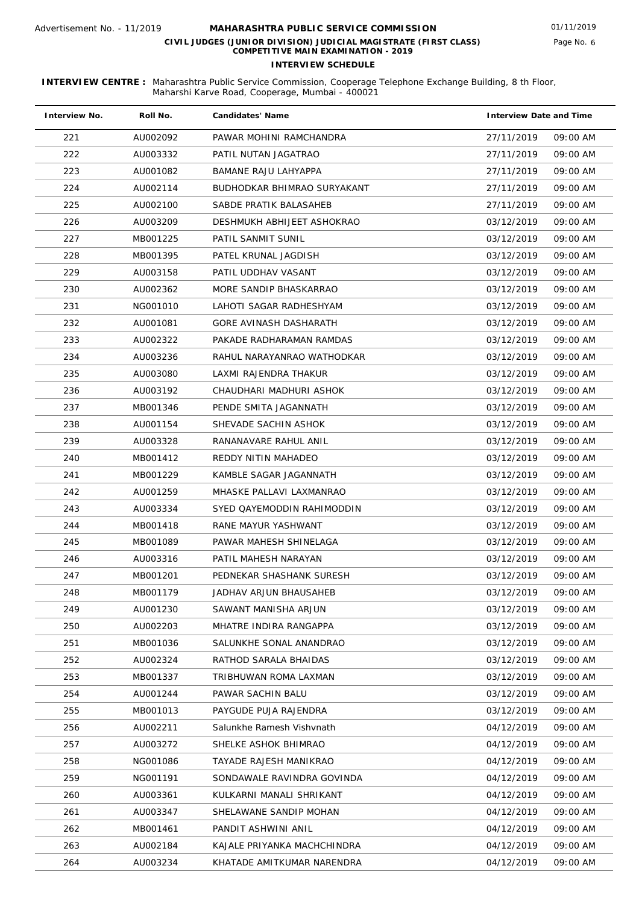| <b>Interview No.</b> | Roll No. | <b>Candidates' Name</b>     | <b>Interview Date and Time</b> |
|----------------------|----------|-----------------------------|--------------------------------|
| 221                  | AU002092 | PAWAR MOHINI RAMCHANDRA     | 27/11/2019<br>09:00 AM         |
| 222                  | AU003332 | PATIL NUTAN JAGATRAO        | 27/11/2019<br>09:00 AM         |
| 223                  | AU001082 | BAMANE RAJU LAHYAPPA        | 27/11/2019<br>09:00 AM         |
| 224                  | AU002114 | BUDHODKAR BHIMRAO SURYAKANT | 27/11/2019<br>09:00 AM         |
| 225                  | AU002100 | SABDE PRATIK BALASAHEB      | 27/11/2019<br>09:00 AM         |
| 226                  | AU003209 | DESHMUKH ABHIJEET ASHOKRAO  | 03/12/2019<br>09:00 AM         |
| 227                  | MB001225 | PATIL SANMIT SUNIL          | 03/12/2019<br>09:00 AM         |
| 228                  | MB001395 | PATEL KRUNAL JAGDISH        | 03/12/2019<br>09:00 AM         |
| 229                  | AU003158 | PATIL UDDHAV VASANT         | 03/12/2019<br>09:00 AM         |
| 230                  | AU002362 | MORE SANDIP BHASKARRAO      | 03/12/2019<br>09:00 AM         |
| 231                  | NG001010 | LAHOTI SAGAR RADHESHYAM     | 03/12/2019<br>09:00 AM         |
| 232                  | AU001081 | GORE AVINASH DASHARATH      | 03/12/2019<br>09:00 AM         |
| 233                  | AU002322 | PAKADE RADHARAMAN RAMDAS    | 09:00 AM<br>03/12/2019         |
| 234                  | AU003236 | RAHUL NARAYANRAO WATHODKAR  | 03/12/2019<br>09:00 AM         |
| 235                  | AU003080 | LAXMI RAJENDRA THAKUR       | 03/12/2019<br>09:00 AM         |
| 236                  | AU003192 | CHAUDHARI MADHURI ASHOK     | 03/12/2019<br>09:00 AM         |
| 237                  | MB001346 | PENDE SMITA JAGANNATH       | 03/12/2019<br>09:00 AM         |
| 238                  | AU001154 | SHEVADE SACHIN ASHOK        | 03/12/2019<br>09:00 AM         |
| 239                  | AU003328 | RANANAVARE RAHUL ANIL       | 03/12/2019<br>09:00 AM         |
| 240                  | MB001412 | REDDY NITIN MAHADEO         | 03/12/2019<br>09:00 AM         |
| 241                  | MB001229 | KAMBLE SAGAR JAGANNATH      | 03/12/2019<br>09:00 AM         |
| 242                  | AU001259 | MHASKE PALLAVI LAXMANRAO    | 03/12/2019<br>09:00 AM         |
| 243                  | AU003334 | SYED QAYEMODDIN RAHIMODDIN  | 03/12/2019<br>09:00 AM         |
| 244                  | MB001418 | RANE MAYUR YASHWANT         | 03/12/2019<br>09:00 AM         |
| 245                  | MB001089 | PAWAR MAHESH SHINELAGA      | 03/12/2019<br>09:00 AM         |
| 246                  | AU003316 | PATIL MAHESH NARAYAN        | 03/12/2019<br>09:00 AM         |
| 247                  | MB001201 | PEDNEKAR SHASHANK SURESH    | 03/12/2019<br>09:00 AM         |
| 248                  | MB001179 | JADHAV ARJUN BHAUSAHEB      | 03/12/2019<br>09:00 AM         |
| 249                  | AU001230 | SAWANT MANISHA ARJUN        | 03/12/2019<br>09:00 AM         |
| 250                  | AU002203 | MHATRE INDIRA RANGAPPA      | 03/12/2019<br>09:00 AM         |
| 251                  | MB001036 | SALUNKHE SONAL ANANDRAO     | 03/12/2019<br>09:00 AM         |
| 252                  | AU002324 | RATHOD SARALA BHAIDAS       | 03/12/2019<br>09:00 AM         |
| 253                  | MB001337 | TRIBHUWAN ROMA LAXMAN       | 03/12/2019<br>09:00 AM         |
| 254                  | AU001244 | PAWAR SACHIN BALU           | 03/12/2019<br>09:00 AM         |
| 255                  | MB001013 | PAYGUDE PUJA RAJENDRA       | 03/12/2019<br>09:00 AM         |
| 256                  | AU002211 | Salunkhe Ramesh Vishvnath   | 09:00 AM<br>04/12/2019         |
| 257                  | AU003272 | SHELKE ASHOK BHIMRAO        | 04/12/2019<br>09:00 AM         |
| 258                  | NG001086 | TAYADE RAJESH MANIKRAO      | 04/12/2019<br>09:00 AM         |
| 259                  | NG001191 | SONDAWALE RAVINDRA GOVINDA  | 04/12/2019<br>09:00 AM         |
| 260                  | AU003361 | KULKARNI MANALI SHRIKANT    | 09:00 AM<br>04/12/2019         |
| 261                  | AU003347 | SHELAWANE SANDIP MOHAN      | 09:00 AM<br>04/12/2019         |
| 262                  | MB001461 | PANDIT ASHWINI ANIL         | 04/12/2019<br>09:00 AM         |
| 263                  | AU002184 | KAJALE PRIYANKA MACHCHINDRA | 09:00 AM<br>04/12/2019         |
| 264                  | AU003234 | KHATADE AMITKUMAR NARENDRA  | 09:00 AM<br>04/12/2019         |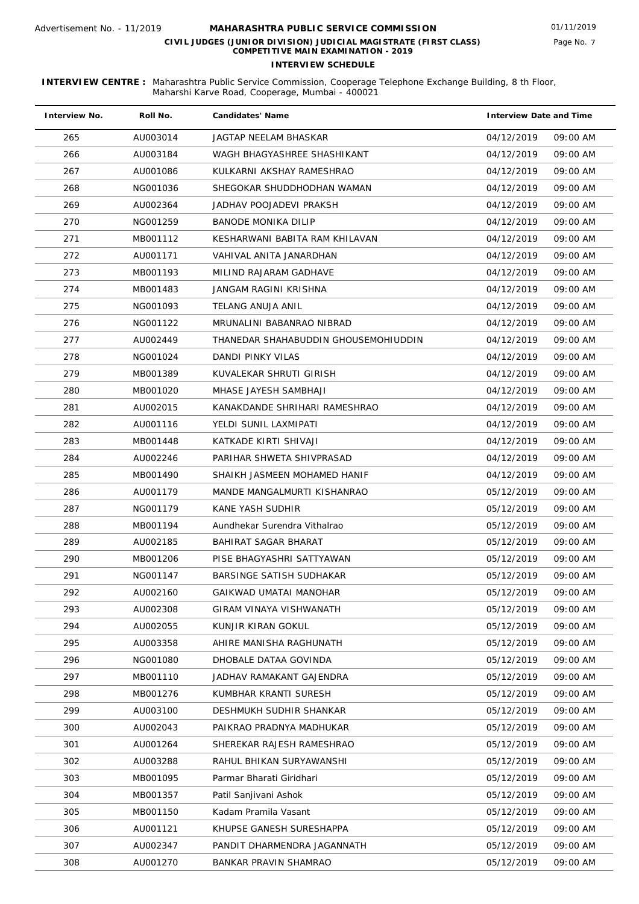| <b>Interview No.</b> | Roll No. | <b>Candidates' Name</b>              | <b>Interview Date and Time</b> |          |
|----------------------|----------|--------------------------------------|--------------------------------|----------|
| 265                  | AU003014 | JAGTAP NEELAM BHASKAR                | 04/12/2019                     | 09:00 AM |
| 266                  | AU003184 | WAGH BHAGYASHREE SHASHIKANT          | 04/12/2019                     | 09:00 AM |
| 267                  | AU001086 | KULKARNI AKSHAY RAMESHRAO            | 04/12/2019                     | 09:00 AM |
| 268                  | NG001036 | SHEGOKAR SHUDDHODHAN WAMAN           | 04/12/2019                     | 09:00 AM |
| 269                  | AU002364 | JADHAV POOJADEVI PRAKSH              | 04/12/2019                     | 09:00 AM |
| 270                  | NG001259 | <b>BANODE MONIKA DILIP</b>           | 04/12/2019                     | 09:00 AM |
| 271                  | MB001112 | KESHARWANI BABITA RAM KHILAVAN       | 04/12/2019                     | 09:00 AM |
| 272                  | AU001171 | VAHIVAL ANITA JANARDHAN              | 04/12/2019                     | 09:00 AM |
| 273                  | MB001193 | MILIND RAJARAM GADHAVE               | 04/12/2019                     | 09:00 AM |
| 274                  | MB001483 | JANGAM RAGINI KRISHNA                | 04/12/2019                     | 09:00 AM |
| 275                  | NG001093 | TELANG ANUJA ANIL                    | 04/12/2019                     | 09:00 AM |
| 276                  | NG001122 | MRUNALINI BABANRAO NIBRAD            | 04/12/2019                     | 09:00 AM |
| 277                  | AU002449 | THANEDAR SHAHABUDDIN GHOUSEMOHIUDDIN | 04/12/2019                     | 09:00 AM |
| 278                  | NG001024 | DANDI PINKY VILAS                    | 04/12/2019                     | 09:00 AM |
| 279                  | MB001389 | KUVALEKAR SHRUTI GIRISH              | 04/12/2019                     | 09:00 AM |
| 280                  | MB001020 | MHASE JAYESH SAMBHAJI                | 04/12/2019                     | 09:00 AM |
| 281                  | AU002015 | KANAKDANDE SHRIHARI RAMESHRAO        | 04/12/2019                     | 09:00 AM |
| 282                  | AU001116 | YELDI SUNIL LAXMIPATI                | 04/12/2019                     | 09:00 AM |
| 283                  | MB001448 | KATKADE KIRTI SHIVAJI                | 04/12/2019                     | 09:00 AM |
| 284                  | AU002246 | PARIHAR SHWETA SHIVPRASAD            | 04/12/2019                     | 09:00 AM |
| 285                  | MB001490 | SHAIKH JASMEEN MOHAMED HANIF         | 04/12/2019                     | 09:00 AM |
| 286                  | AU001179 | MANDE MANGALMURTI KISHANRAO          | 05/12/2019                     | 09:00 AM |
| 287                  | NG001179 | KANE YASH SUDHIR                     | 05/12/2019                     | 09:00 AM |
| 288                  | MB001194 | Aundhekar Surendra Vithalrao         | 05/12/2019                     | 09:00 AM |
| 289                  | AU002185 | BAHIRAT SAGAR BHARAT                 | 05/12/2019                     | 09:00 AM |
| 290                  | MB001206 | PISE BHAGYASHRI SATTYAWAN            | 05/12/2019                     | 09:00 AM |
| 291                  | NG001147 | BARSINGE SATISH SUDHAKAR             | 05/12/2019                     | 09:00 AM |
| 292                  | AU002160 | GAIKWAD UMATAI MANOHAR               | 05/12/2019                     | 09:00 AM |
| 293                  | AU002308 | GIRAM VINAYA VISHWANATH              | 05/12/2019                     | 09:00 AM |
| 294                  | AU002055 | KUNJIR KIRAN GOKUL                   | 05/12/2019                     | 09:00 AM |
| 295                  | AU003358 | AHIRE MANISHA RAGHUNATH              | 05/12/2019                     | 09:00 AM |
| 296                  | NG001080 | DHOBALE DATAA GOVINDA                | 05/12/2019                     | 09:00 AM |
| 297                  | MB001110 | JADHAV RAMAKANT GAJENDRA             | 05/12/2019                     | 09:00 AM |
| 298                  | MB001276 | KUMBHAR KRANTI SURESH                | 05/12/2019                     | 09:00 AM |
| 299                  | AU003100 | DESHMUKH SUDHIR SHANKAR              | 05/12/2019                     | 09:00 AM |
| 300                  | AU002043 | PAIKRAO PRADNYA MADHUKAR             | 05/12/2019                     | 09:00 AM |
| 301                  | AU001264 | SHEREKAR RAJESH RAMESHRAO            | 05/12/2019                     | 09:00 AM |
| 302                  | AU003288 | RAHUL BHIKAN SURYAWANSHI             | 05/12/2019                     | 09:00 AM |
| 303                  | MB001095 | Parmar Bharati Giridhari             | 05/12/2019                     | 09:00 AM |
| 304                  | MB001357 | Patil Sanjivani Ashok                | 05/12/2019                     | 09:00 AM |
| 305                  | MB001150 | Kadam Pramila Vasant                 | 05/12/2019                     | 09:00 AM |
| 306                  | AU001121 | KHUPSE GANESH SURESHAPPA             | 05/12/2019                     | 09:00 AM |
| 307                  | AU002347 | PANDIT DHARMENDRA JAGANNATH          | 05/12/2019                     | 09:00 AM |
| 308                  | AU001270 | BANKAR PRAVIN SHAMRAO                | 05/12/2019                     | 09:00 AM |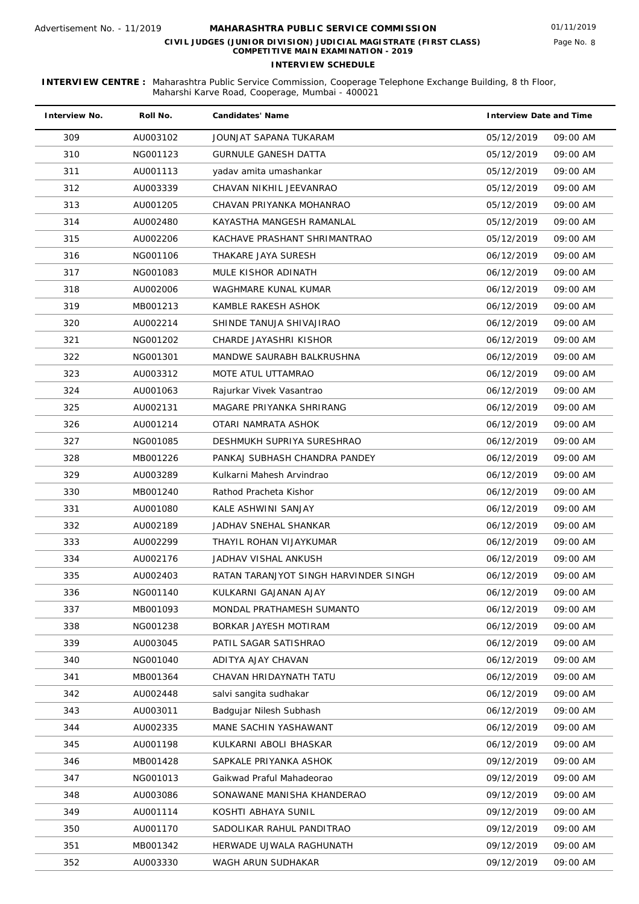| <b>Interview No.</b> | Roll No. | <b>Candidates' Name</b>               | <b>Interview Date and Time</b> |          |
|----------------------|----------|---------------------------------------|--------------------------------|----------|
| 309                  | AU003102 | JOUNJAT SAPANA TUKARAM                | 05/12/2019                     | 09:00 AM |
| 310                  | NG001123 | <b>GURNULE GANESH DATTA</b>           | 05/12/2019                     | 09:00 AM |
| 311                  | AU001113 | yadav amita umashankar                | 05/12/2019                     | 09:00 AM |
| 312                  | AU003339 | CHAVAN NIKHIL JEEVANRAO               | 05/12/2019                     | 09:00 AM |
| 313                  | AU001205 | CHAVAN PRIYANKA MOHANRAO              | 05/12/2019                     | 09:00 AM |
| 314                  | AU002480 | KAYASTHA MANGESH RAMANLAL             | 05/12/2019                     | 09:00 AM |
| 315                  | AU002206 | KACHAVE PRASHANT SHRIMANTRAO          | 05/12/2019                     | 09:00 AM |
| 316                  | NG001106 | THAKARE JAYA SURESH                   | 06/12/2019                     | 09:00 AM |
| 317                  | NG001083 | MULE KISHOR ADINATH                   | 06/12/2019                     | 09:00 AM |
| 318                  | AU002006 | WAGHMARE KUNAL KUMAR                  | 06/12/2019                     | 09:00 AM |
| 319                  | MB001213 | KAMBLE RAKESH ASHOK                   | 06/12/2019                     | 09:00 AM |
| 320                  | AU002214 | SHINDE TANUJA SHIVAJIRAO              | 06/12/2019                     | 09:00 AM |
| 321                  | NG001202 | CHARDE JAYASHRI KISHOR                | 06/12/2019                     | 09:00 AM |
| 322                  | NG001301 | MANDWE SAURABH BALKRUSHNA             | 06/12/2019                     | 09:00 AM |
| 323                  | AU003312 | MOTE ATUL UTTAMRAO                    | 06/12/2019                     | 09:00 AM |
| 324                  | AU001063 | Rajurkar Vivek Vasantrao              | 06/12/2019                     | 09:00 AM |
| 325                  | AU002131 | MAGARE PRIYANKA SHRIRANG              | 06/12/2019                     | 09:00 AM |
| 326                  | AU001214 | OTARI NAMRATA ASHOK                   | 06/12/2019                     | 09:00 AM |
| 327                  | NG001085 | DESHMUKH SUPRIYA SURESHRAO            | 06/12/2019                     | 09:00 AM |
| 328                  | MB001226 | PANKAJ SUBHASH CHANDRA PANDEY         | 06/12/2019                     | 09:00 AM |
| 329                  | AU003289 | Kulkarni Mahesh Arvindrao             | 06/12/2019                     | 09:00 AM |
| 330                  | MB001240 | Rathod Pracheta Kishor                | 06/12/2019                     | 09:00 AM |
| 331                  | AU001080 | KALE ASHWINI SANJAY                   | 06/12/2019                     | 09:00 AM |
| 332                  | AU002189 | JADHAV SNEHAL SHANKAR                 | 06/12/2019                     | 09:00 AM |
| 333                  | AU002299 | THAYIL ROHAN VIJAYKUMAR               | 06/12/2019                     | 09:00 AM |
| 334                  | AU002176 | JADHAV VISHAL ANKUSH                  | 06/12/2019                     | 09:00 AM |
| 335                  | AU002403 | RATAN TARANJYOT SINGH HARVINDER SINGH | 06/12/2019                     | 09:00 AM |
| 336                  | NG001140 | KULKARNI GAJANAN AJAY                 | 06/12/2019                     | 09:00 AM |
| 337                  | MB001093 | MONDAL PRATHAMESH SUMANTO             | 06/12/2019                     | 09:00 AM |
| 338                  | NG001238 | BORKAR JAYESH MOTIRAM                 | 06/12/2019                     | 09:00 AM |
| 339                  | AU003045 | PATIL SAGAR SATISHRAO                 | 06/12/2019                     | 09:00 AM |
| 340                  | NG001040 | ADITYA AJAY CHAVAN                    | 06/12/2019                     | 09:00 AM |
| 341                  | MB001364 | CHAVAN HRIDAYNATH TATU                | 06/12/2019                     | 09:00 AM |
| 342                  | AU002448 | salvi sangita sudhakar                | 06/12/2019                     | 09:00 AM |
| 343                  | AU003011 | Badgujar Nilesh Subhash               | 06/12/2019                     | 09:00 AM |
| 344                  | AU002335 | MANE SACHIN YASHAWANT                 | 06/12/2019                     | 09:00 AM |
| 345                  | AU001198 | KULKARNI ABOLI BHASKAR                | 06/12/2019                     | 09:00 AM |
| 346                  | MB001428 | SAPKALE PRIYANKA ASHOK                | 09/12/2019                     | 09:00 AM |
| 347                  | NG001013 | Gaikwad Praful Mahadeorao             | 09/12/2019                     | 09:00 AM |
| 348                  | AU003086 | SONAWANE MANISHA KHANDERAO            | 09/12/2019                     | 09:00 AM |
| 349                  | AU001114 | KOSHTI ABHAYA SUNIL                   | 09/12/2019                     | 09:00 AM |
| 350                  | AU001170 | SADOLIKAR RAHUL PANDITRAO             | 09/12/2019                     | 09:00 AM |
| 351                  | MB001342 | HERWADE UJWALA RAGHUNATH              | 09/12/2019                     | 09:00 AM |
| 352                  | AU003330 | WAGH ARUN SUDHAKAR                    | 09/12/2019                     | 09:00 AM |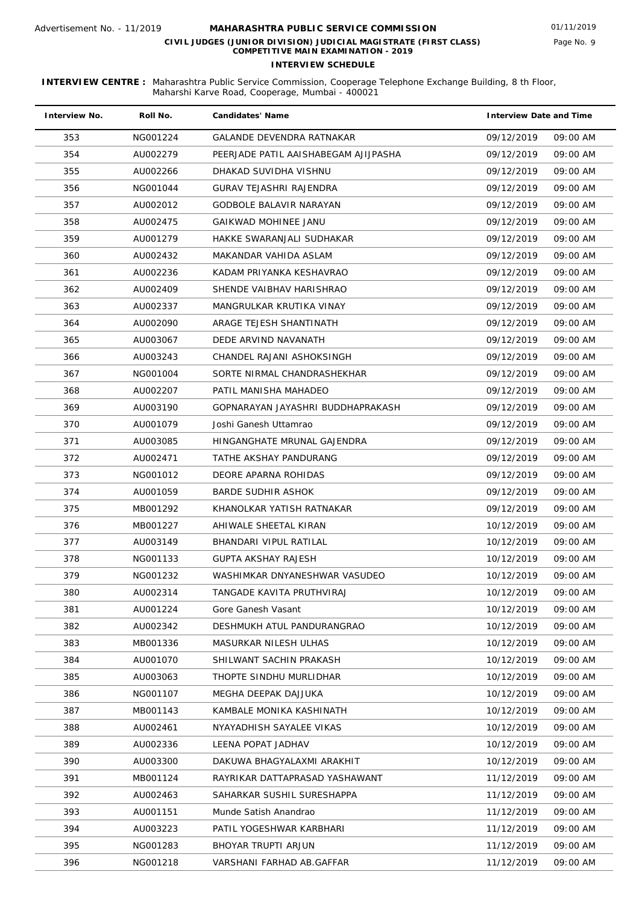| <b>Interview No.</b> | Roll No. | <b>Candidates' Name</b>              | <b>Interview Date and Time</b> |
|----------------------|----------|--------------------------------------|--------------------------------|
| 353                  | NG001224 | <b>GALANDE DEVENDRA RATNAKAR</b>     | 09/12/2019<br>09:00 AM         |
| 354                  | AU002279 | PEERJADE PATIL AAISHABEGAM AJIJPASHA | 09/12/2019<br>09:00 AM         |
| 355                  | AU002266 | DHAKAD SUVIDHA VISHNU                | 09/12/2019<br>09:00 AM         |
| 356                  | NG001044 | GURAV TEJASHRI RAJENDRA              | 09/12/2019<br>09:00 AM         |
| 357                  | AU002012 | GODBOLE BALAVIR NARAYAN              | 09/12/2019<br>09:00 AM         |
| 358                  | AU002475 | GAIKWAD MOHINEE JANU                 | 09/12/2019<br>09:00 AM         |
| 359                  | AU001279 | HAKKE SWARANJALI SUDHAKAR            | 09/12/2019<br>09:00 AM         |
| 360                  | AU002432 | MAKANDAR VAHIDA ASLAM                | 09/12/2019<br>09:00 AM         |
| 361                  | AU002236 | KADAM PRIYANKA KESHAVRAO             | 09/12/2019<br>09:00 AM         |
| 362                  | AU002409 | SHENDE VAIBHAV HARISHRAO             | 09/12/2019<br>09:00 AM         |
| 363                  | AU002337 | MANGRULKAR KRUTIKA VINAY             | 09/12/2019<br>09:00 AM         |
| 364                  | AU002090 | ARAGE TEJESH SHANTINATH              | 09/12/2019<br>09:00 AM         |
| 365                  | AU003067 | DEDE ARVIND NAVANATH                 | 09/12/2019<br>09:00 AM         |
| 366                  | AU003243 | CHANDEL RAJANI ASHOKSINGH            | 09/12/2019<br>09:00 AM         |
| 367                  | NG001004 | SORTE NIRMAL CHANDRASHEKHAR          | 09/12/2019<br>09:00 AM         |
| 368                  | AU002207 | PATIL MANISHA MAHADEO                | 09/12/2019<br>09:00 AM         |
| 369                  | AU003190 | GOPNARAYAN JAYASHRI BUDDHAPRAKASH    | 09/12/2019<br>09:00 AM         |
| 370                  | AU001079 | Joshi Ganesh Uttamrao                | 09/12/2019<br>09:00 AM         |
| 371                  | AU003085 | HINGANGHATE MRUNAL GAJENDRA          | 09/12/2019<br>09:00 AM         |
| 372                  | AU002471 | TATHE AKSHAY PANDURANG               | 09/12/2019<br>09:00 AM         |
| 373                  | NG001012 | DEORE APARNA ROHIDAS                 | 09/12/2019<br>09:00 AM         |
| 374                  | AU001059 | BARDE SUDHIR ASHOK                   | 09/12/2019<br>09:00 AM         |
| 375                  | MB001292 | KHANOLKAR YATISH RATNAKAR            | 09/12/2019<br>09:00 AM         |
| 376                  | MB001227 | AHIWALE SHEETAL KIRAN                | 10/12/2019<br>09:00 AM         |
| 377                  | AU003149 | BHANDARI VIPUL RATILAL               | 10/12/2019<br>09:00 AM         |
| 378                  | NG001133 | GUPTA AKSHAY RAJESH                  | 10/12/2019<br>09:00 AM         |
| 379                  | NG001232 | WASHIMKAR DNYANESHWAR VASUDEO        | 10/12/2019<br>09:00 AM         |
| 380                  | AU002314 | TANGADE KAVITA PRUTHVIRAJ            | 10/12/2019<br>09:00 AM         |
| 381                  | AU001224 | Gore Ganesh Vasant                   | 10/12/2019<br>09:00 AM         |
| 382                  | AU002342 | DESHMUKH ATUL PANDURANGRAO           | 10/12/2019<br>09:00 AM         |
| 383                  | MB001336 | MASURKAR NILESH ULHAS                | 10/12/2019<br>09:00 AM         |
| 384                  | AU001070 | SHILWANT SACHIN PRAKASH              | 10/12/2019<br>09:00 AM         |
| 385                  | AU003063 | THOPTE SINDHU MURLIDHAR              | 10/12/2019<br>09:00 AM         |
| 386                  | NG001107 | MEGHA DEEPAK DAJJUKA                 | 10/12/2019<br>09:00 AM         |
| 387                  | MB001143 | KAMBALE MONIKA KASHINATH             | 10/12/2019<br>09:00 AM         |
| 388                  | AU002461 | NYAYADHISH SAYALEE VIKAS             | 10/12/2019<br>09:00 AM         |
| 389                  | AU002336 | LEENA POPAT JADHAV                   | 10/12/2019<br>09:00 AM         |
| 390                  | AU003300 | DAKUWA BHAGYALAXMI ARAKHIT           | 10/12/2019<br>09:00 AM         |
| 391                  | MB001124 | RAYRIKAR DATTAPRASAD YASHAWANT       | 11/12/2019<br>09:00 AM         |
| 392                  | AU002463 | SAHARKAR SUSHIL SURESHAPPA           | 09:00 AM<br>11/12/2019         |
| 393                  | AU001151 | Munde Satish Anandrao                | 11/12/2019<br>09:00 AM         |
| 394                  | AU003223 | PATIL YOGESHWAR KARBHARI             | 11/12/2019<br>09:00 AM         |
| 395                  | NG001283 | BHOYAR TRUPTI ARJUN                  | 11/12/2019<br>09:00 AM         |
| 396                  | NG001218 | VARSHANI FARHAD AB.GAFFAR            | 11/12/2019<br>09:00 AM         |